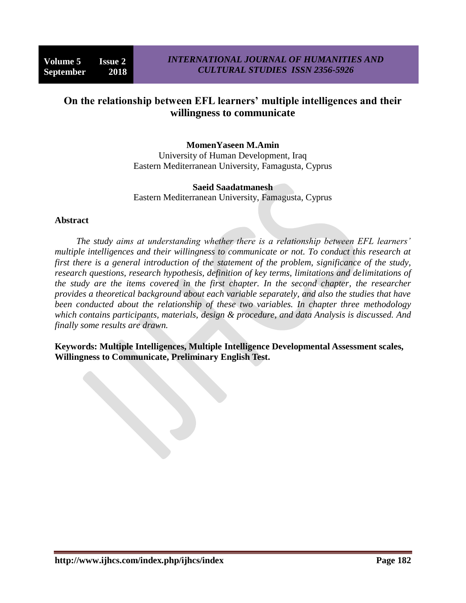# **On the relationship between EFL learners' multiple intelligences and their willingness to communicate**

#### **MomenYaseen M.Amin**

University of Human Development, Iraq Eastern Mediterranean University, Famagusta, Cyprus

#### **Saeid Saadatmanesh**

Eastern Mediterranean University, Famagusta, Cyprus

#### **Abstract**

*The study aims at understanding whether there is a relationship between EFL learners' multiple intelligences and their willingness to communicate or not. To conduct this research at first there is a general introduction of the statement of the problem, significance of the study, research questions, research hypothesis, definition of key terms, limitations and delimitations of the study are the items covered in the first chapter. In the second chapter, the researcher provides a theoretical background about each variable separately, and also the studies that have been conducted about the relationship of these two variables. In chapter three methodology which contains participants, materials, design & procedure, and data Analysis is discussed. And finally some results are drawn.*

**Keywords: Multiple Intelligences, Multiple Intelligence Developmental Assessment scales, Willingness to Communicate, Preliminary English Test.**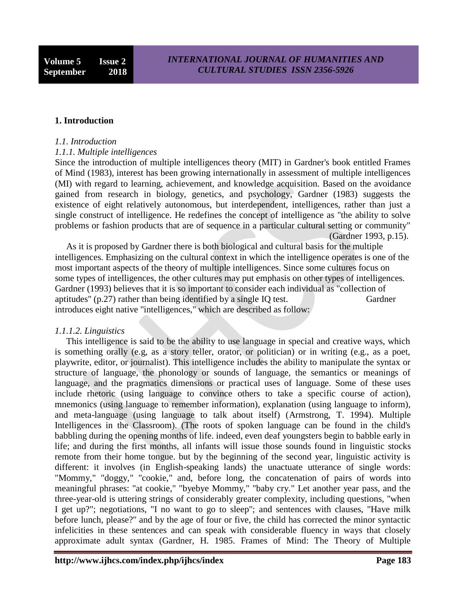#### **1. Introduction**

#### *1.1. Introduction*

#### *1.1.1. Multiple intelligences*

Since the introduction of multiple intelligences theory (MIT) in Gardner's book entitled Frames of Mind (1983), interest has been growing internationally in assessment of multiple intelligences (MI) with regard to learning, achievement, and knowledge acquisition. Based on the avoidance gained from research in biology, genetics, and psychology, Gardner (1983) suggests the existence of eight relatively autonomous, but interdependent, intelligences, rather than just a single construct of intelligence. He redefines the concept of intelligence as "the ability to solve problems or fashion products that are of sequence in a particular cultural setting or community" (Gardner 1993, p.15).

 As it is proposed by Gardner there is both biological and cultural basis for the multiple intelligences. Emphasizing on the cultural context in which the intelligence operates is one of the most important aspects of the theory of multiple intelligences. Since some cultures focus on some types of intelligences, the other cultures may put emphasis on other types of intelligences. Gardner (1993) believes that it is so important to consider each individual as "collection of aptitudes" (p.27) rather than being identified by a single IQ test. Gardner introduces eight native "intelligences," which are described as follow:

#### *1.1.1.2. Linguistics*

 This intelligence is said to be the ability to use language in special and creative ways, which is something orally (e.g, as a story teller, orator, or politician) or in writing (e.g., as a poet, playwrite, editor, or journalist). This intelligence includes the ability to manipulate the syntax or structure of language, the phonology or sounds of language, the semantics or meanings of language, and the pragmatics dimensions or practical uses of language. Some of these uses include rhetoric (using language to convince others to take a specific course of action), mnemonics (using language to remember information), explanation (using language to inform), and meta-language (using language to talk about itself) (Armstrong, T. 1994). Multiple Intelligences in the Classroom). (The roots of spoken language can be found in the child's babbling during the opening months of life. indeed, even deaf youngsters begin to babble early in life; and during the first months, all infants will issue those sounds found in linguistic stocks remote from their home tongue. but by the beginning of the second year, linguistic activity is different: it involves (in English-speaking lands) the unactuate utterance of single words: "Mommy," "doggy," "cookie," and, before long, the concatenation of pairs of words into meaningful phrases: "at cookie," "byebye Mommy," "baby cry." Let another year pass, and the three-year-old is uttering strings of considerably greater complexity, including questions, "when I get up?"; negotiations, "I no want to go to sleep"; and sentences with clauses, "Have milk before lunch, please?" and by the age of four or five, the child has corrected the minor syntactic infelicities in these sentences and can speak with considerable fluency in ways that closely approximate adult syntax (Gardner, H. 1985. Frames of Mind: The Theory of Multiple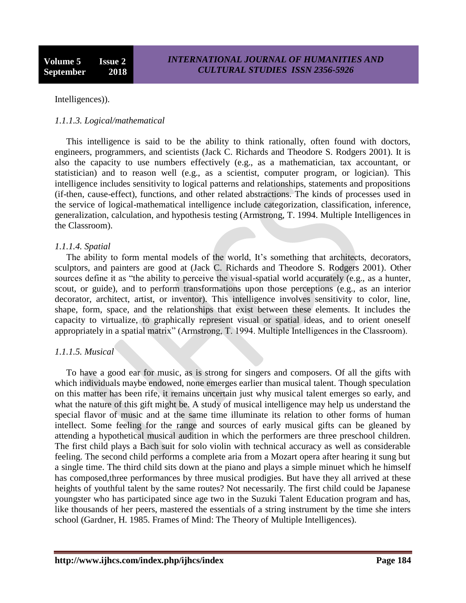Intelligences)).

## *1.1.1.3. Logical/mathematical*

 This intelligence is said to be the ability to think rationally, often found with doctors, engineers, programmers, and scientists (Jack C. Richards and Theodore S. Rodgers 2001). It is also the capacity to use numbers effectively (e.g., as a mathematician, tax accountant, or statistician) and to reason well (e.g., as a scientist, computer program, or logician). This intelligence includes sensitivity to logical patterns and relationships, statements and propositions (if-then, cause-effect), functions, and other related abstractions. The kinds of processes used in the service of logical-mathematical intelligence include categorization, classification, inference, generalization, calculation, and hypothesis testing (Armstrong, T. 1994. Multiple Intelligences in the Classroom).

## *1.1.1.4. Spatial*

The ability to form mental models of the world, It's something that architects, decorators, sculptors, and painters are good at (Jack C. Richards and Theodore S. Rodgers 2001). Other sources define it as "the ability to perceive the visual-spatial world accurately (e.g., as a hunter, scout, or guide), and to perform transformations upon those perceptions (e.g., as an interior decorator, architect, artist, or inventor). This intelligence involves sensitivity to color, line, shape, form, space, and the relationships that exist between these elements. It includes the capacity to virtualize, to graphically represent visual or spatial ideas, and to orient oneself appropriately in a spatial matrix" (Armstrong, T. 1994. Multiple Intelligences in the Classroom).

## *1.1.1.5. Musical*

 To have a good ear for music, as is strong for singers and composers. Of all the gifts with which individuals maybe endowed, none emerges earlier than musical talent. Though speculation on this matter has been rife, it remains uncertain just why musical talent emerges so early, and what the nature of this gift might be. A study of musical intelligence may help us understand the special flavor of music and at the same time illuminate its relation to other forms of human intellect. Some feeling for the range and sources of early musical gifts can be gleaned by attending a hypothetical musical audition in which the performers are three preschool children. The first child plays a Bach suit for solo violin with technical accuracy as well as considerable feeling. The second child performs a complete aria from a Mozart opera after hearing it sung but a single time. The third child sits down at the piano and plays a simple minuet which he himself has composed,three performances by three musical prodigies. But have they all arrived at these heights of youthful talent by the same routes? Not necessarily. The first child could be Japanese youngster who has participated since age two in the Suzuki Talent Education program and has, like thousands of her peers, mastered the essentials of a string instrument by the time she inters school (Gardner, H. 1985. Frames of Mind: The Theory of Multiple Intelligences).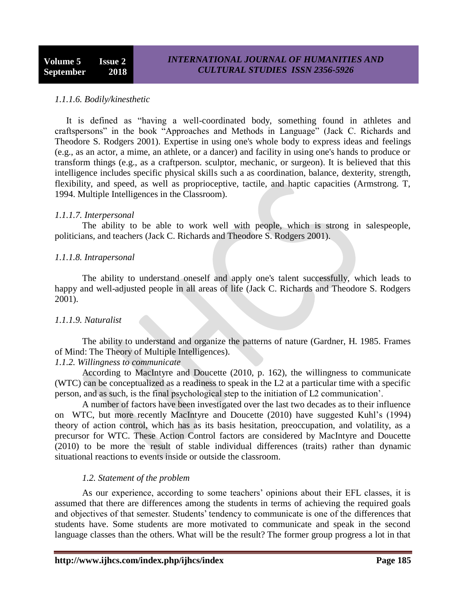## *1.1.1.6. Bodily/kinesthetic*

 It is defined as "having a well-coordinated body, something found in athletes and craftspersons" in the book "Approaches and Methods in Language" (Jack C. Richards and Theodore S. Rodgers 2001). Expertise in using one's whole body to express ideas and feelings (e.g., as an actor, a mime, an athlete, or a dancer) and facility in using one's hands to produce or transform things (e.g., as a craftperson. sculptor, mechanic, or surgeon). It is believed that this intelligence includes specific physical skills such a as coordination, balance, dexterity, strength, flexibility, and speed, as well as proprioceptive, tactile, and haptic capacities (Armstrong. T, 1994. Multiple Intelligences in the Classroom).

#### *1.1.1.7. Interpersonal*

The ability to be able to work well with people, which is strong in salespeople, politicians, and teachers (Jack C. Richards and Theodore S. Rodgers 2001).

#### *1.1.1.8. Intrapersonal*

The ability to understand oneself and apply one's talent successfully, which leads to happy and well-adjusted people in all areas of life (Jack C. Richards and Theodore S. Rodgers 2001).

## *1.1.1.9. Naturalist*

The ability to understand and organize the patterns of nature (Gardner, H. 1985. Frames of Mind: The Theory of Multiple Intelligences).

## *1.1.2. Willingness to communicate*

According to MacIntyre and Doucette (2010, p. 162), the willingness to communicate (WTC) can be conceptualized as a readiness to speak in the L2 at a particular time with a specific person, and as such, is the final psychological step to the initiation of L2 communication".

A number of factors have been investigated over the last two decades as to their influence on WTC, but more recently MacIntyre and Doucette (2010) have suggested Kuhl"s (1994) theory of action control, which has as its basis hesitation, preoccupation, and volatility, as a precursor for WTC. These Action Control factors are considered by MacIntyre and Doucette (2010) to be more the result of stable individual differences (traits) rather than dynamic situational reactions to events inside or outside the classroom.

## *1.2. Statement of the problem*

As our experience, according to some teachers' opinions about their EFL classes, it is assumed that there are differences among the students in terms of achieving the required goals and objectives of that semester. Students' tendency to communicate is one of the differences that students have. Some students are more motivated to communicate and speak in the second language classes than the others. What will be the result? The former group progress a lot in that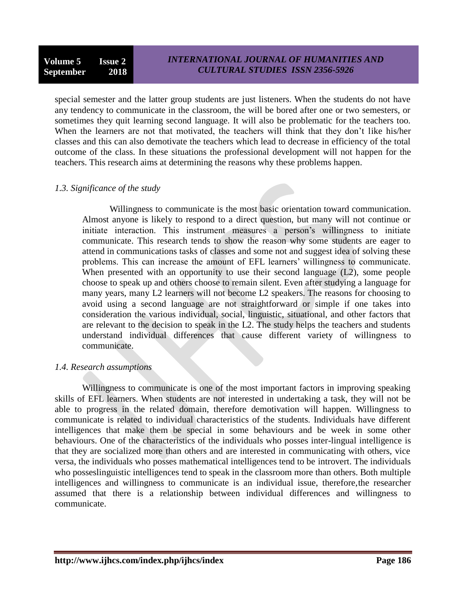special semester and the latter group students are just listeners. When the students do not have any tendency to communicate in the classroom, the will be bored after one or two semesters, or sometimes they quit learning second language. It will also be problematic for the teachers too. When the learners are not that motivated, the teachers will think that they don't like his/her classes and this can also demotivate the teachers which lead to decrease in efficiency of the total outcome of the class. In these situations the professional development will not happen for the teachers. This research aims at determining the reasons why these problems happen.

## *1.3. Significance of the study*

Willingness to communicate is the most basic orientation toward communication. Almost anyone is likely to respond to a direct question, but many will not continue or initiate interaction. This instrument measures a person"s willingness to initiate communicate. This research tends to show the reason why some students are eager to attend in communications tasks of classes and some not and suggest idea of solving these problems. This can increase the amount of EFL learners" willingness to communicate. When presented with an opportunity to use their second language (L2), some people choose to speak up and others choose to remain silent. Even after studying a language for many years, many L2 learners will not become L2 speakers. The reasons for choosing to avoid using a second language are not straightforward or simple if one takes into consideration the various individual, social, linguistic, situational, and other factors that are relevant to the decision to speak in the L2. The study helps the teachers and students understand individual differences that cause different variety of willingness to communicate.

## *1.4. Research assumptions*

Willingness to communicate is one of the most important factors in improving speaking skills of EFL learners. When students are not interested in undertaking a task, they will not be able to progress in the related domain, therefore demotivation will happen. Willingness to communicate is related to individual characteristics of the students. Individuals have different intelligences that make them be special in some behaviours and be week in some other behaviours. One of the characteristics of the individuals who posses inter-lingual intelligence is that they are socialized more than others and are interested in communicating with others, vice versa, the individuals who posses mathematical intelligences tend to be introvert. The individuals who posseslinguistic intelligences tend to speak in the classroom more than others. Both multiple intelligences and willingness to communicate is an individual issue, therefore,the researcher assumed that there is a relationship between individual differences and willingness to communicate.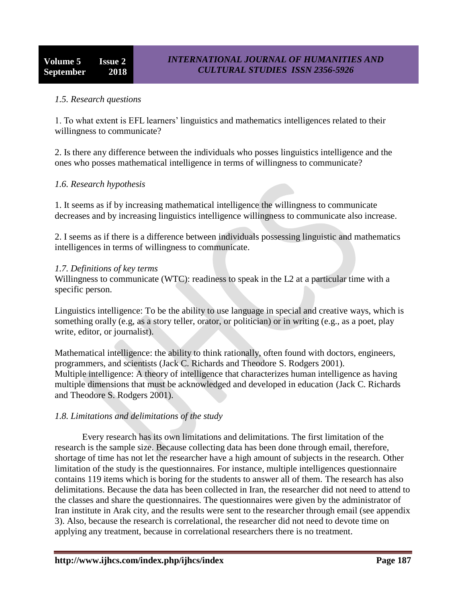## *1.5. Research questions*

1. To what extent is EFL learners" linguistics and mathematics intelligences related to their willingness to communicate?

2. Is there any difference between the individuals who posses linguistics intelligence and the ones who posses mathematical intelligence in terms of willingness to communicate?

## *1.6. Research hypothesis*

1. It seems as if by increasing mathematical intelligence the willingness to communicate decreases and by increasing linguistics intelligence willingness to communicate also increase.

2. I seems as if there is a difference between individuals possessing linguistic and mathematics intelligences in terms of willingness to communicate.

#### *1.7. Definitions of key terms*

Willingness to communicate (WTC): readiness to speak in the L2 at a particular time with a specific person.

Linguistics intelligence: To be the ability to use language in special and creative ways, which is something orally (e.g, as a story teller, orator, or politician) or in writing (e.g., as a poet, play write, editor, or journalist).

Mathematical intelligence: the ability to think rationally, often found with doctors, engineers, programmers, and scientists (Jack C. Richards and Theodore S. Rodgers 2001). Multiple intelligence: A theory of intelligence that characterizes human intelligence as having multiple dimensions that must be acknowledged and developed in education (Jack C. Richards and Theodore S. Rodgers 2001).

## *1.8. Limitations and delimitations of the study*

Every research has its own limitations and delimitations. The first limitation of the research is the sample size. Because collecting data has been done through email, therefore, shortage of time has not let the researcher have a high amount of subjects in the research. Other limitation of the study is the questionnaires. For instance, multiple intelligences questionnaire contains 119 items which is boring for the students to answer all of them. The research has also delimitations. Because the data has been collected in Iran, the researcher did not need to attend to the classes and share the questionnaires. The questionnaires were given by the administrator of Iran institute in Arak city, and the results were sent to the researcher through email (see appendix 3). Also, because the research is correlational, the researcher did not need to devote time on applying any treatment, because in correlational researchers there is no treatment.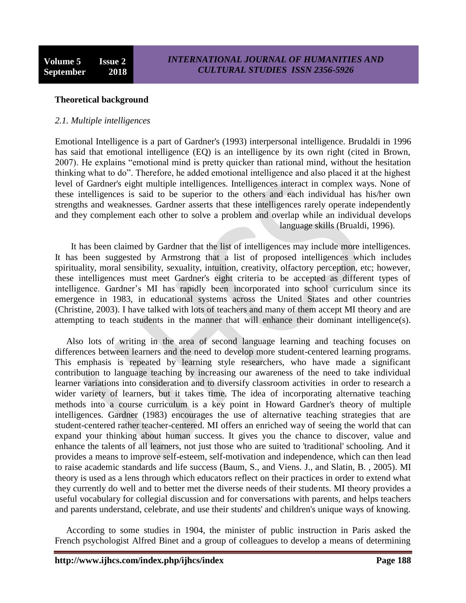#### **Theoretical background**

#### *2.1. Multiple intelligences*

Emotional Intelligence is a part of Gardner's (1993) interpersonal intelligence. Brudaldi in 1996 has said that emotional intelligence (EQ) is an intelligence by its own right (cited in Brown, 2007). He explains "emotional mind is pretty quicker than rational mind, without the hesitation thinking what to do". Therefore, he added emotional intelligence and also placed it at the highest level of Gardner's eight multiple intelligences. Intelligences interact in complex ways. None of these intelligences is said to be superior to the others and each individual has his/her own strengths and weaknesses. Gardner asserts that these intelligences rarely operate independently and they complement each other to solve a problem and overlap while an individual develops language skills (Brualdi, 1996).

 It has been claimed by Gardner that the list of intelligences may include more intelligences. It has been suggested by Armstrong that a list of proposed intelligences which includes spirituality, moral sensibility, sexuality, intuition, creativity, olfactory perception, etc; however, these intelligences must meet Gardner's eight criteria to be accepted as different types of intelligence. Gardner"s MI has rapidly been incorporated into school curriculum since its emergence in 1983, in educational systems across the United States and other countries (Christine, 2003). I have talked with lots of teachers and many of them accept MI theory and are attempting to teach students in the manner that will enhance their dominant intelligence(s).

 Also lots of writing in the area of second language learning and teaching focuses on differences between learners and the need to develop more student-centered learning programs. This emphasis is repeated by learning style researchers, who have made a significant contribution to language teaching by increasing our awareness of the need to take individual learner variations into consideration and to diversify classroom activities in order to research a wider variety of learners, but it takes time. The idea of incorporating alternative teaching methods into a course curriculum is a key point in Howard Gardner's theory of multiple intelligences. Gardner (1983) encourages the use of alternative teaching strategies that are student-centered rather teacher-centered. MI offers an enriched way of seeing the world that can expand your thinking about human success. It gives you the chance to discover, value and enhance the talents of all learners, not just those who are suited to 'traditional' schooling. And it provides a means to improve self-esteem, self-motivation and independence, which can then lead to raise academic standards and life success (Baum, S., and Viens. J., and Slatin, B. , 2005). MI theory is used as a lens through which educators reflect on their practices in order to extend what they currently do well and to better met the diverse needs of their students. MI theory provides a useful vocabulary for collegial discussion and for conversations with parents, and helps teachers and parents understand, celebrate, and use their students' and children's unique ways of knowing.

 According to some studies in 1904, the minister of public instruction in Paris asked the French psychologist Alfred Binet and a group of colleagues to develop a means of determining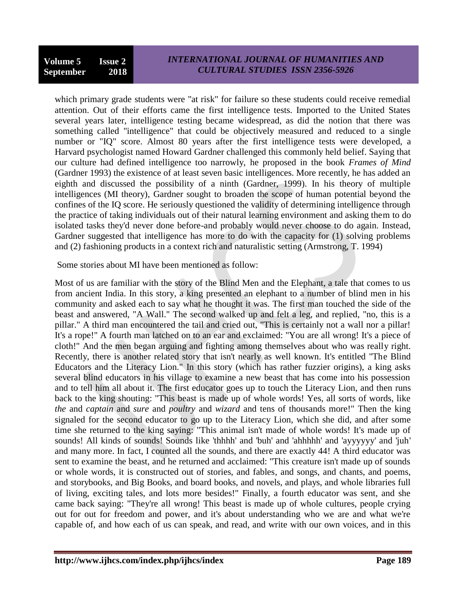which primary grade students were "at risk" for failure so these students could receive remedial attention. Out of their efforts came the first intelligence tests. Imported to the United States several years later, intelligence testing became widespread, as did the notion that there was something called "intelligence" that could be objectively measured and reduced to a single number or "IQ" score. Almost 80 years after the first intelligence tests were developed, a Harvard psychologist named Howard Gardner challenged this commonly held belief. Saying that our culture had defined intelligence too narrowly, he proposed in the book *Frames of Mind* (Gardner 1993) the existence of at least seven basic intelligences. More recently, he has added an eighth and discussed the possibility of a ninth (Gardner, 1999). In his theory of multiple intelligences (MI theory), Gardner sought to broaden the scope of human potential beyond the confines of the IQ score. He seriously questioned the validity of determining intelligence through the practice of taking individuals out of their natural learning environment and asking them to do isolated tasks they'd never done before-and probably would never choose to do again. Instead, Gardner suggested that intelligence has more to do with the capacity for (1) solving problems and (2) fashioning products in a context rich and naturalistic setting (Armstrong, T. 1994)

Some stories about MI have been mentioned as follow:

Most of us are familiar with the story of the Blind Men and the Elephant, a tale that comes to us from ancient India. In this story, a king presented an elephant to a number of blind men in his community and asked each to say what he thought it was. The first man touched the side of the beast and answered, "A Wall." The second walked up and felt a leg, and replied, "no, this is a pillar." A third man encountered the tail and cried out, "This is certainly not a wall nor a pillar! It's a rope!" A fourth man latched on to an ear and exclaimed: "You are all wrong! It's a piece of cloth!" And the men began arguing and fighting among themselves about who was really right. Recently, there is another related story that isn't nearly as well known. It's entitled "The Blind Educators and the Literacy Lion." In this story (which has rather fuzzier origins), a king asks several blind educators in his village to examine a new beast that has come into his possession and to tell him all about it. The first educator goes up to touch the Literacy Lion, and then runs back to the king shouting: "This beast is made up of whole words! Yes, all sorts of words, like *the* and *captain* and *sure* and *poultry* and *wizard* and tens of thousands more!" Then the king signaled for the second educator to go up to the Literacy Lion, which she did, and after some time she returned to the king saying: "This animal isn't made of whole words! It's made up of sounds! All kinds of sounds! Sounds like 'thhhh' and 'buh' and 'ahhhhh' and 'ayyyyyy' and 'juh' and many more. In fact, I counted all the sounds, and there are exactly 44! A third educator was sent to examine the beast, and he returned and acclaimed: "This creature isn't made up of sounds or whole words, it is constructed out of stories, and fables, and songs, and chants, and poems, and storybooks, and Big Books, and board books, and novels, and plays, and whole libraries full of living, exciting tales, and lots more besides!" Finally, a fourth educator was sent, and she came back saying: "They're all wrong! This beast is made up of whole cultures, people crying out for out for freedom and power, and it's about understanding who we are and what we're capable of, and how each of us can speak, and read, and write with our own voices, and in this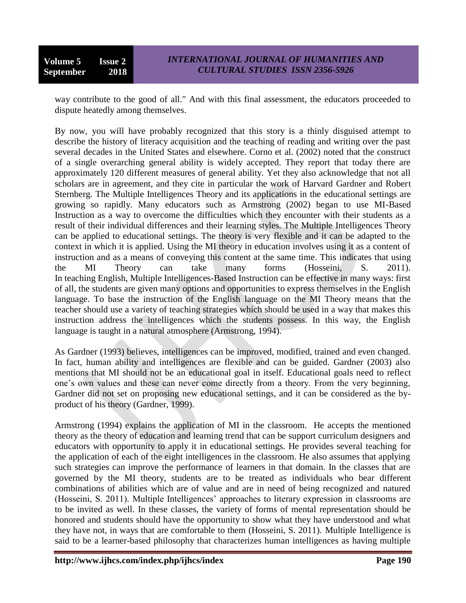**Volume 5 Issue 2 September 2018**

way contribute to the good of all." And with this final assessment, the educators proceeded to dispute heatedly among themselves.

By now, you will have probably recognized that this story is a thinly disguised attempt to describe the history of literacy acquisition and the teaching of reading and writing over the past several decades in the United States and elsewhere. Corno et al. (2002) noted that the construct of a single overarching general ability is widely accepted. They report that today there are approximately 120 different measures of general ability. Yet they also acknowledge that not all scholars are in agreement, and they cite in particular the work of Harvard Gardner and Robert Sternberg. The Multiple Intelligences Theory and its applications in the educational settings are growing so rapidly. Many educators such as Armstrong (2002) began to use MI-Based Instruction as a way to overcome the difficulties which they encounter with their students as a result of their individual differences and their learning styles. The Multiple Intelligences Theory can be applied to educational settings. The theory is very flexible and it can be adapted to the context in which it is applied. Using the MI theory in education involves using it as a content of instruction and as a means of conveying this content at the same time. This indicates that using the MI Theory can take many forms (Hosseini, S. 2011). In teaching English, Multiple Intelligences-Based Instruction can be effective in many ways: first of all, the students are given many options and opportunities to express themselves in the English language. To base the instruction of the English language on the MI Theory means that the teacher should use a variety of teaching strategies which should be used in a way that makes this instruction address the intelligences which the students possess. In this way, the English language is taught in a natural atmosphere (Armstrong, 1994).

As Gardner (1993) believes, intelligences can be improved, modified, trained and even changed. In fact, human ability and intelligences are flexible and can be guided. Gardner (2003) also mentions that MI should not be an educational goal in itself. Educational goals need to reflect one"s own values and these can never come directly from a theory. From the very beginning, Gardner did not set on proposing new educational settings, and it can be considered as the byproduct of his theory (Gardner, 1999).

Armstrong (1994) explains the application of MI in the classroom. He accepts the mentioned theory as the theory of education and learning trend that can be support curriculum designers and educators with opportunity to apply it in educational settings. He provides several teaching for the application of each of the eight intelligences in the classroom. He also assumes that applying such strategies can improve the performance of learners in that domain. In the classes that are governed by the MI theory, students are to be treated as individuals who bear different combinations of abilities which are of value and are in need of being recognized and natured (Hosseini, S. 2011). Multiple Intelligences" approaches to literary expression in classrooms are to be invited as well. In these classes, the variety of forms of mental representation should be honored and students should have the opportunity to show what they have understood and what they have not, in ways that are comfortable to them (Hosseini, S. 2011). Multiple Intelligence is said to be a learner-based philosophy that characterizes human intelligences as having multiple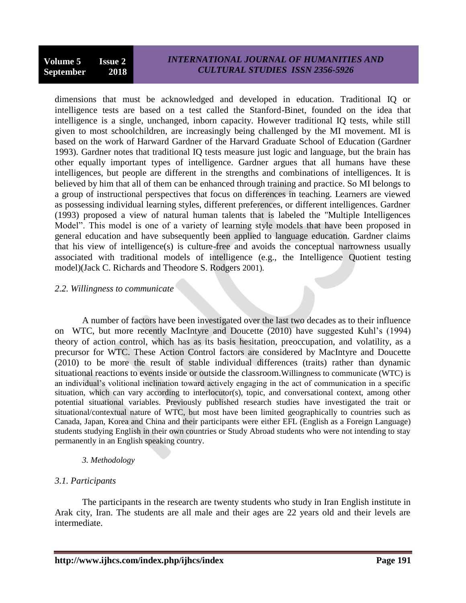dimensions that must be acknowledged and developed in education. Traditional IQ or intelligence tests are based on a test called the Stanford-Binet, founded on the idea that intelligence is a single, unchanged, inborn capacity. However traditional IQ tests, while still given to most schoolchildren, are increasingly being challenged by the MI movement. MI is based on the work of Harward Gardner of the Harvard Graduate School of Education (Gardner 1993). Gardner notes that traditional IQ tests measure just logic and language, but the brain has other equally important types of intelligence. Gardner argues that all humans have these intelligences, but people are different in the strengths and combinations of intelligences. It is believed by him that all of them can be enhanced through training and practice. So MI belongs to a group of instructional perspectives that focus on differences in teaching. Learners are viewed as possessing individual learning styles, different preferences, or different intelligences. Gardner (1993) proposed a view of natural human talents that is labeled the "Multiple Intelligences Model". This model is one of a variety of learning style models that have been proposed in general education and have subsequently been applied to language education. Gardner claims that his view of intelligence(s) is culture-free and avoids the conceptual narrowness usually associated with traditional models of intelligence (e.g., the Intelligence Quotient testing model)(Jack C. Richards and Theodore S. Rodgers 2001).

#### *2.2. Willingness to communicate*

A number of factors have been investigated over the last two decades as to their influence on WTC, but more recently MacIntyre and Doucette (2010) have suggested Kuhl"s (1994) theory of action control, which has as its basis hesitation, preoccupation, and volatility, as a precursor for WTC. These Action Control factors are considered by MacIntyre and Doucette (2010) to be more the result of stable individual differences (traits) rather than dynamic situational reactions to events inside or outside the classroom.Willingness to communicate (WTC) is an individual"s volitional inclination toward actively engaging in the act of communication in a specific situation, which can vary according to interlocutor(s), topic, and conversational context, among other potential situational variables. Previously published research studies have investigated the trait or situational/contextual nature of WTC, but most have been limited geographically to countries such as Canada, Japan, Korea and China and their participants were either EFL (English as a Foreign Language) students studying English in their own countries or Study Abroad students who were not intending to stay permanently in an English speaking country.

## *3. Methodology*

## *3.1. Participants*

The participants in the research are twenty students who study in Iran English institute in Arak city, Iran. The students are all male and their ages are 22 years old and their levels are intermediate.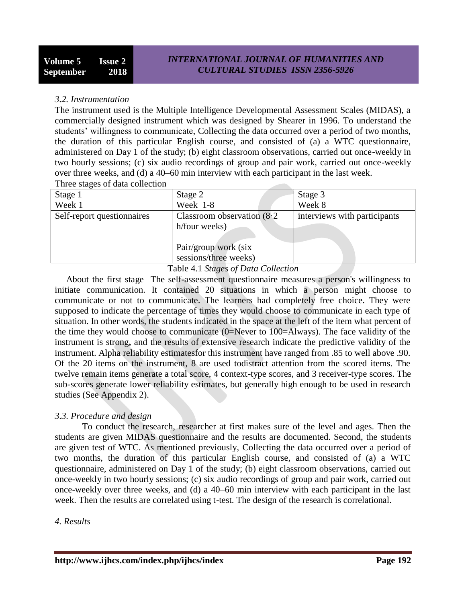#### *3.2. Instrumentation*

The instrument used is the Multiple Intelligence Developmental Assessment Scales (MIDAS), a commercially designed instrument which was designed by Shearer in 1996. To understand the students' willingness to communicate, Collecting the data occurred over a period of two months, the duration of this particular English course, and consisted of (a) a WTC questionnaire, administered on Day 1 of the study; (b) eight classroom observations, carried out once-weekly in two hourly sessions; (c) six audio recordings of group and pair work, carried out once-weekly over three weeks, and (d) a 40–60 min interview with each participant in the last week.

Three stages of data collection

| Stage 1                    | Stage 2                                        | Stage 3                      |
|----------------------------|------------------------------------------------|------------------------------|
| Week 1                     | Week 1-8                                       | Week 8                       |
| Self-report questionnaires | Classroom observation $(8.2)$<br>h/four weeks) | interviews with participants |
|                            | Pair/group work (six<br>sessions/three weeks)  |                              |

#### Table 4.1 *Stages of Data Collection*

 About the first stage The self-assessment questionnaire measures a person's willingness to initiate communication. It contained 20 situations in which a person might choose to communicate or not to communicate. The learners had completely free choice. They were supposed to indicate the percentage of times they would choose to communicate in each type of situation. In other words, the students indicated in the space at the left of the item what percent of the time they would choose to communicate (0=Never to 100=Always). The face validity of the instrument is strong**,** and the results of extensive research indicate the predictive validity of the instrument. Alpha reliability estimatesfor this instrument have ranged from .85 to well above .90. Of the 20 items on the instrument, 8 are used todistract attention from the scored items. The twelve remain items generate a total score, 4 context-type scores, and 3 receiver-type scores. The sub-scores generate lower reliability estimates, but generally high enough to be used in research studies (See Appendix 2).

## *3.3. Procedure and design*

To conduct the research, researcher at first makes sure of the level and ages. Then the students are given MIDAS questionnaire and the results are documented. Second, the students are given test of WTC. As mentioned previously, Collecting the data occurred over a period of two months, the duration of this particular English course, and consisted of (a) a WTC questionnaire, administered on Day 1 of the study; (b) eight classroom observations, carried out once-weekly in two hourly sessions; (c) six audio recordings of group and pair work, carried out once-weekly over three weeks, and (d) a 40–60 min interview with each participant in the last week. Then the results are correlated using t-test. The design of the research is correlational.

#### *4. Results*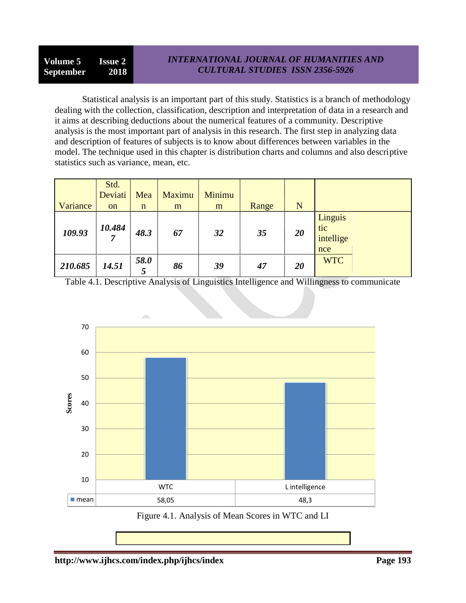Statistical analysis is an important part of this study. Statistics is a branch of methodology dealing with the collection, classification, description and interpretation of data in a research and it aims at describing deductions about the numerical features of a community. Descriptive analysis is the most important part of analysis in this research. The first step in analyzing data and description of features of subjects is to know about differences between variables in the model. The technique used in this chapter is distribution charts and columns and also descriptive statistics such as variance, mean, etc.

|          | Std.<br>Deviati | Mea         | Maximu | Minimu |       |           |                                    |
|----------|-----------------|-------------|--------|--------|-------|-----------|------------------------------------|
| Variance | <sub>on</sub>   | $\mathbf n$ | m      | m      | Range | N         |                                    |
| 109.93   | 10.484          | 48.3        | 67     | 32     | 35    | <b>20</b> | Linguis<br>tic<br>intellige<br>nce |
| 210.685  | 14.51           | 58.0<br>5   | 86     | 39     | 47    | 20        | <b>WTC</b>                         |

Table 4.1. Descriptive Analysis of Linguistics Intelligence and Willingness to communicate



Figure 4.1. Analysis of Mean Scores in WTC and LI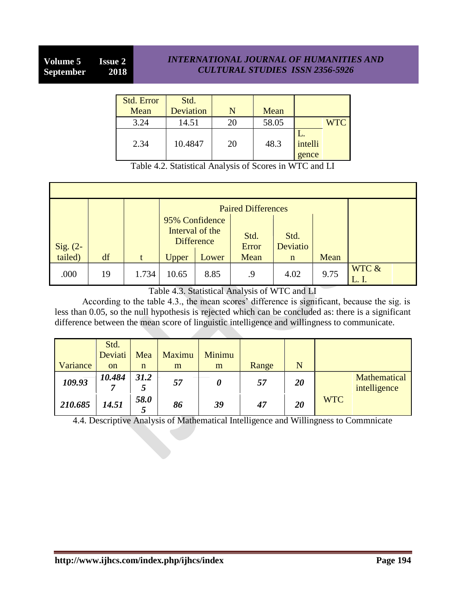| Std. Error<br>Mean | Std.<br>Deviation |    | Mean  |                  |            |
|--------------------|-------------------|----|-------|------------------|------------|
| 3.24               | 14.51             | 20 | 58.05 |                  | <b>WTC</b> |
| 2.34               | 10.4847           | 20 | 48.3  | intelli<br>gence |            |

|  |  |  | Table 4.2. Statistical Analysis of Scores in WTC and LI |
|--|--|--|---------------------------------------------------------|
|--|--|--|---------------------------------------------------------|

| Sig. (2-<br>tailed) | df |       | 95% Confidence<br>Interval of the<br><b>Difference</b> |       | <b>Paired Differences</b><br>Std.<br>Error<br>Mean | Std.<br>Deviatio | Mean |       |
|---------------------|----|-------|--------------------------------------------------------|-------|----------------------------------------------------|------------------|------|-------|
|                     |    | t     | Upper                                                  | Lower |                                                    | $\mathbf n$      |      |       |
| .000                | 19 | 1.734 | 10.65                                                  | 8.85  | .9                                                 | 4.02             | 9.75 | WTC & |

Table 4.3. Statistical Analysis of WTC and LI

According to the table 4.3., the mean scores' difference is significant, because the sig. is less than 0.05, so the null hypothesis is rejected which can be concluded as: there is a significant difference between the mean score of linguistic intelligence and willingness to communicate.

| Variance | Std.<br>Deviati<br><sub>on</sub> | Mea<br>n  | Maximu<br>m | Minimu<br>m | Range | N  |            |                              |
|----------|----------------------------------|-----------|-------------|-------------|-------|----|------------|------------------------------|
| 109.93   | 10.484                           | 31.2<br>Ĉ | 57          | 0           | 57    | 20 |            | Mathematical<br>intelligence |
| 210.685  | 14.51                            | 58.0<br>5 | 86          | 39          | 47    | 20 | <b>WTC</b> |                              |

4.4. Descriptive Analysis of Mathematical Intelligence and Willingness to Commnicate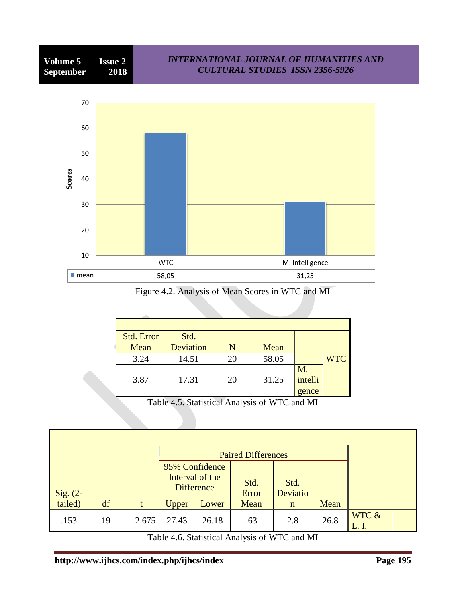

*INTERNATIONAL JOURNAL OF HUMANITIES AND*

Figure 4.2. Analysis of Mean Scores in WTC and MI

| Std. Error | Std.      |    |       |         |            |
|------------|-----------|----|-------|---------|------------|
| Mean       | Deviation |    | Mean  |         |            |
| 3.24       | 14.51     | 20 | 58.05 |         | <b>WTC</b> |
|            |           |    |       | M.      |            |
| 3.87       | 17.31     | 20 | 31.25 | intelli |            |
|            |           |    |       | gence   |            |

Table 4.5. Statistical Analysis of WTC and MI

|                     |    |       |                                   | <b>Paired Differences</b> |               |                  |      |       |
|---------------------|----|-------|-----------------------------------|---------------------------|---------------|------------------|------|-------|
|                     |    |       | 95% Confidence<br>Interval of the |                           |               |                  |      |       |
|                     |    |       | <b>Difference</b>                 |                           | Std.<br>Error | Std.<br>Deviatio |      |       |
| Sig. (2-<br>tailed) | df |       | Upper                             | Lower                     | Mean          | $\mathbf n$      | Mean |       |
| .153                | 19 | 2.675 | 27.43                             | 26.18                     | .63           | 2.8              | 26.8 | WTC & |

Table 4.6. Statistical Analysis of WTC and MI

**Volume 5 Issue 2**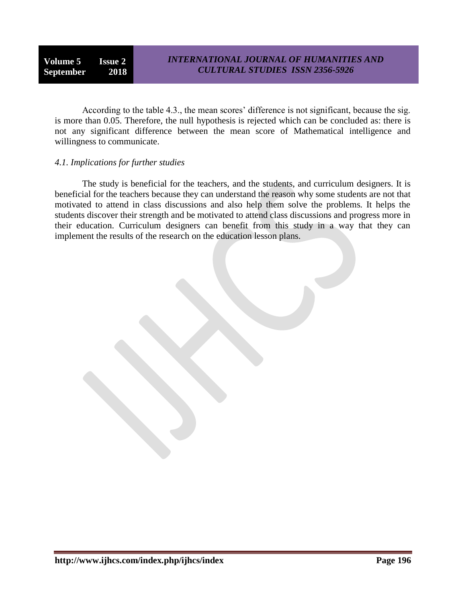**Volume 5 Issue 2 September 2018**

According to the table 4.3., the mean scores' difference is not significant, because the sig. is more than 0.05. Therefore, the null hypothesis is rejected which can be concluded as: there is not any significant difference between the mean score of Mathematical intelligence and willingness to communicate.

#### *4.1. Implications for further studies*

The study is beneficial for the teachers, and the students, and curriculum designers. It is beneficial for the teachers because they can understand the reason why some students are not that motivated to attend in class discussions and also help them solve the problems. It helps the students discover their strength and be motivated to attend class discussions and progress more in their education. Curriculum designers can benefit from this study in a way that they can implement the results of the research on the education lesson plans.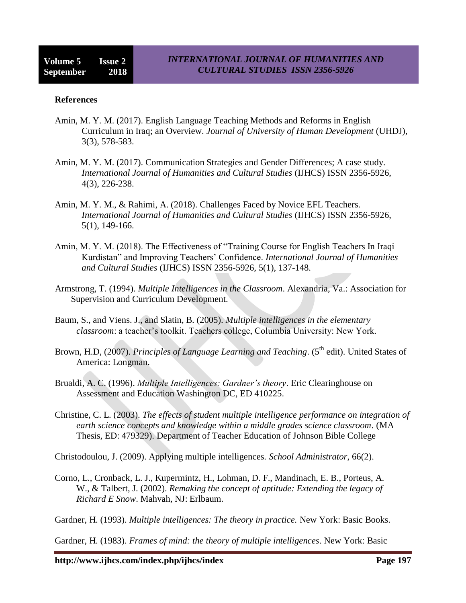#### **References**

- Amin, M. Y. M. (2017). English Language Teaching Methods and Reforms in English Curriculum in Iraq; an Overview. *Journal of University of Human Development* (UHDJ), 3(3), 578-583.
- Amin, M. Y. M. (2017). Communication Strategies and Gender Differences; A case study. *International Journal of Humanities and Cultural Studies* (IJHCS) ISSN 2356-5926, 4(3), 226-238.
- Amin, M. Y. M., & Rahimi, A. (2018). Challenges Faced by Novice EFL Teachers. *International Journal of Humanities and Cultural Studies* (IJHCS) ISSN 2356-5926, 5(1), 149-166.
- Amin, M. Y. M. (2018). The Effectiveness of "Training Course for English Teachers In Iraqi Kurdistan" and Improving Teachers" Confidence. *International Journal of Humanities and Cultural Studies* (IJHCS) ISSN 2356-5926, 5(1), 137-148.
- Armstrong, T. (1994). *Multiple Intelligences in the Classroom*. Alexandria, Va.: Association for Supervision and Curriculum Development.
- Baum, S., and Viens. J., and Slatin, B. (2005). *Multiple intelligences in the elementary classroom*: a teacher"s toolkit. Teachers college, Columbia University: New York.
- Brown, H.D, (2007). *Principles of Language Learning and Teaching*. (5<sup>th</sup> edit). United States of America: Longman.
- Brualdi, A. C. (1996). *Multiple Intelligences: Gardner's theory*. Eric Clearinghouse on Assessment and Education Washington DC, ED 410225.
- Christine, C. L. (2003). *The effects of student multiple intelligence performance on integration of earth science concepts and knowledge within a middle grades science classroom*. (MA Thesis, ED: 479329). Department of Teacher Education of Johnson Bible College

Christodoulou, J. (2009). Applying multiple intelligences. *School Administrator*, 66(2).

Corno, L., Cronback, L. J., Kupermintz, H., Lohman, D. F., Mandinach, E. B., Porteus, A. W., & Talbert, J. (2002). *Remaking the concept of aptitude: Extending the legacy of Richard E Snow*. Mahvah, NJ: Erlbaum.

Gardner, H. (1993). *Multiple intelligences: The theory in practice.* New York: Basic Books.

Gardner, H. (1983). *Frames of mind: the theory of multiple intelligences*. New York: Basic

**http://www.ijhcs.com/index.php/ijhcs/index Page 197**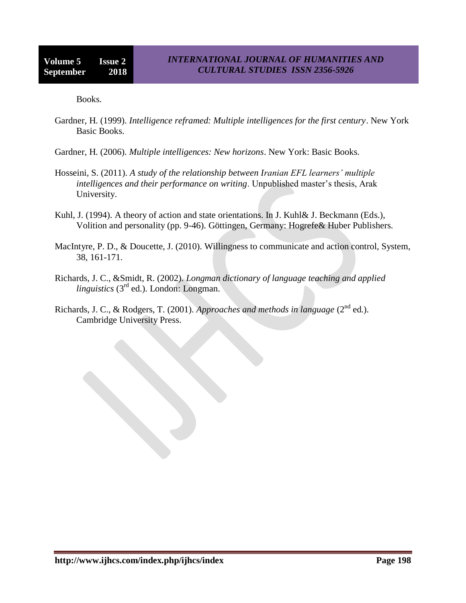Books.

- Gardner, H. (1999). *Intelligence reframed: Multiple intelligences for the first century*. New York Basic Books.
- Gardner, H. (2006). *Multiple intelligences: New horizons*. New York: Basic Books.
- Hosseini, S. (2011). *A study of the relationship between Iranian EFL learners' multiple intelligences and their performance on writing*. Unpublished master's thesis, Arak University.
- Kuhl, J. (1994). A theory of action and state orientations. In J. Kuhl& J. Beckmann (Eds.), Volition and personality (pp. 9-46). Göttingen, Germany: Hogrefe& Huber Publishers.
- MacIntyre, P. D., & Doucette, J. (2010). Willingness to communicate and action control, System, 38, 161-171.
- Richards, J. C., &Smidt, R. (2002). *Longman dictionary of language teaching and applied linguistics* (3<sup>rd</sup> ed.). London: Longman.
- Richards, J. C., & Rodgers, T. (2001). Approaches and methods in language (2<sup>nd</sup> ed.). Cambridge University Press.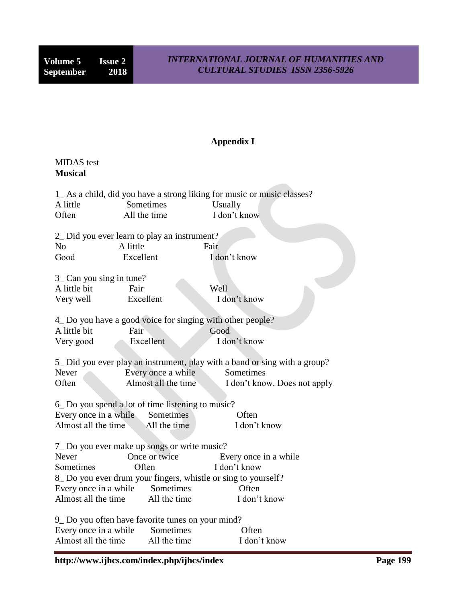# **Appendix I**

## MIDAS test **Musical**

| A little<br>Often                                         | Sometimes<br>All the time                                     | 1_As a child, did you have a strong liking for music or music classes?<br>Usually<br>I don't know |  |  |  |  |
|-----------------------------------------------------------|---------------------------------------------------------------|---------------------------------------------------------------------------------------------------|--|--|--|--|
|                                                           | 2_ Did you ever learn to play an instrument?                  |                                                                                                   |  |  |  |  |
| N <sub>o</sub>                                            | A little                                                      | Fair                                                                                              |  |  |  |  |
| Good                                                      | Excellent                                                     | I don't know                                                                                      |  |  |  |  |
|                                                           |                                                               |                                                                                                   |  |  |  |  |
| 3_ Can you sing in tune?                                  |                                                               |                                                                                                   |  |  |  |  |
| A little bit                                              | Fair                                                          | Well                                                                                              |  |  |  |  |
| Very well                                                 | Excellent                                                     | I don't know                                                                                      |  |  |  |  |
|                                                           |                                                               |                                                                                                   |  |  |  |  |
| 4_Do you have a good voice for singing with other people? |                                                               |                                                                                                   |  |  |  |  |
| A little bit                                              | Fair                                                          | Good                                                                                              |  |  |  |  |
| Very good                                                 | Excellent                                                     | I don't know                                                                                      |  |  |  |  |
|                                                           |                                                               |                                                                                                   |  |  |  |  |
|                                                           |                                                               | 5_ Did you ever play an instrument, play with a band or sing with a group?                        |  |  |  |  |
| Never                                                     | Every once a while                                            | Sometimes                                                                                         |  |  |  |  |
| Often                                                     | Almost all the time                                           | I don't know. Does not apply                                                                      |  |  |  |  |
|                                                           |                                                               |                                                                                                   |  |  |  |  |
|                                                           | 6 Do you spend a lot of time listening to music?              |                                                                                                   |  |  |  |  |
|                                                           | Every once in a while Sometimes                               | Often                                                                                             |  |  |  |  |
|                                                           | Almost all the time All the time                              | I don't know                                                                                      |  |  |  |  |
|                                                           |                                                               |                                                                                                   |  |  |  |  |
|                                                           | 7_Do you ever make up songs or write music?                   |                                                                                                   |  |  |  |  |
| <b>Never</b>                                              | Once or twice                                                 | Every once in a while                                                                             |  |  |  |  |
| Sometimes                                                 | Often                                                         | I don't know                                                                                      |  |  |  |  |
|                                                           | 8 Do you ever drum your fingers, whistle or sing to yourself? |                                                                                                   |  |  |  |  |
|                                                           | Every once in a while Sometimes                               | Often                                                                                             |  |  |  |  |
| Almost all the time                                       | All the time                                                  | I don't know                                                                                      |  |  |  |  |
|                                                           |                                                               |                                                                                                   |  |  |  |  |
|                                                           | 9_ Do you often have favorite tunes on your mind?             |                                                                                                   |  |  |  |  |
| Every once in a while                                     | Sometimes                                                     | Often                                                                                             |  |  |  |  |
| Almost all the time                                       | All the time                                                  | I don't know                                                                                      |  |  |  |  |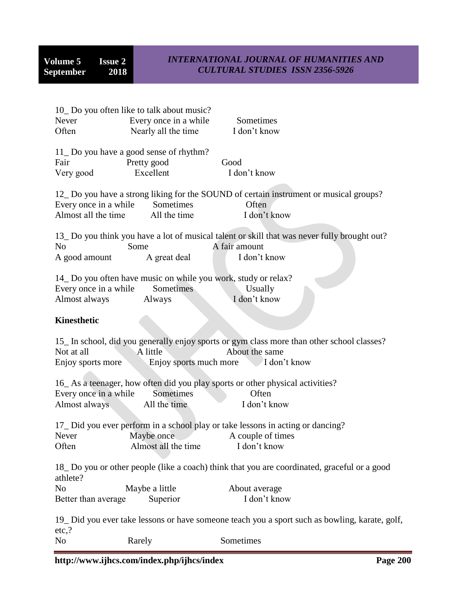| Never<br>Often                               | 10 Do you often like to talk about music?<br>Every once in a while<br>Nearly all the time | Sometimes<br>I don't know                                                                                                                           |
|----------------------------------------------|-------------------------------------------------------------------------------------------|-----------------------------------------------------------------------------------------------------------------------------------------------------|
| Fair<br>Very good                            | 11_Do you have a good sense of rhythm?<br>Pretty good<br>Excellent                        | Good<br>I don't know                                                                                                                                |
| Every once in a while<br>Almost all the time | Sometimes<br>All the time                                                                 | 12 Do you have a strong liking for the SOUND of certain instrument or musical groups?<br>Often<br>I don't know                                      |
| N <sub>o</sub><br>A good amount              | Some<br>A great deal                                                                      | 13_Do you think you have a lot of musical talent or skill that was never fully brought out?<br>A fair amount<br>I don't know                        |
| Every once in a while<br>Almost always       | 14_Do you often have music on while you work, study or relax?<br>Sometimes<br>Always      | Usually<br>I don't know                                                                                                                             |
| <b>Kinesthetic</b>                           |                                                                                           |                                                                                                                                                     |
| Not at all<br>Enjoy sports more              | A little                                                                                  | 15_ In school, did you generally enjoy sports or gym class more than other school classes?<br>About the same<br>Enjoy sports much more I don't know |
| Every once in a while<br>Almost always       | Sometimes<br>All the time                                                                 | 16_As a teenager, how often did you play sports or other physical activities?<br>Often<br>I don't know                                              |
| Never<br>Often                               | Maybe once<br>Almost all the time                                                         | 17_Did you ever perform in a school play or take lessons in acting or dancing?<br>A couple of times<br>I don't know                                 |
| athlete?                                     |                                                                                           | 18_Do you or other people (like a coach) think that you are coordinated, graceful or a good                                                         |
| N <sub>o</sub><br>Better than average        | Maybe a little<br>Superior                                                                | About average<br>I don't know                                                                                                                       |
| $etc.$ ?                                     |                                                                                           | 19_ Did you ever take lessons or have someone teach you a sport such as bowling, karate, golf,                                                      |

No Rarely Sometimes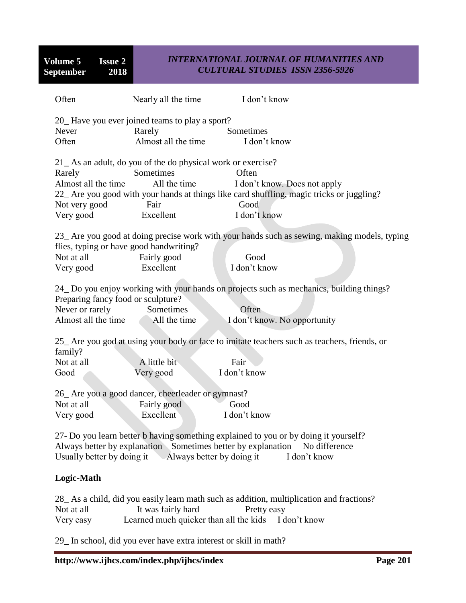**Volume 5 Issue 2**<br>**September 2018 September** 

## *INTERNATIONAL JOURNAL OF HUMANITIES AND CULTURAL STUDIES ISSN 2356-5926*

| Often                                                                        | Nearly all the time                                                                                                  | I don't know                                                                                                                                               |
|------------------------------------------------------------------------------|----------------------------------------------------------------------------------------------------------------------|------------------------------------------------------------------------------------------------------------------------------------------------------------|
| Never<br>Often                                                               | 20_Have you ever joined teams to play a sport?<br>Rarely<br>Almost all the time                                      | Sometimes<br>I don't know                                                                                                                                  |
| Rarely<br>Almost all the time<br>Not very good<br>Very good                  | 21_As an adult, do you of the do physical work or exercise?<br>Sometimes<br>All the time<br>Fair<br>Excellent        | Often<br>I don't know. Does not apply<br>22_ Are you good with your hands at things like card shuffling, magic tricks or juggling?<br>Good<br>I don't know |
| flies, typing or have good handwriting?<br>Not at all<br>Very good           | Fairly good<br>Excellent                                                                                             | 23_ Are you good at doing precise work with your hands such as sewing, making models, typing<br>Good<br>I don't know                                       |
| Preparing fancy food or sculpture?<br>Never or rarely<br>Almost all the time | Sometimes<br>All the time                                                                                            | 24 Do you enjoy working with your hands on projects such as mechanics, building things?<br>Often<br>I don't know. No opportunity                           |
| family?<br>Not at all<br>Good                                                | A little bit<br>Very good                                                                                            | 25_ Are you god at using your body or face to imitate teachers such as teachers, friends, or<br>Fair<br>I don't know                                       |
| Not at all<br>Very good                                                      | 26_ Are you a good dancer, cheerleader or gymnast?<br>Fairly good<br>Excellent                                       | Good<br>I don't know                                                                                                                                       |
|                                                                              | Always better by explanation Sometimes better by explanation<br>Usually better by doing it Always better by doing it | 27- Do you learn better b having something explained to you or by doing it yourself?<br>No difference<br>I don't know                                      |

## **Logic-Math**

|            |                                                     |             | 28 As a child, did you easily learn math such as addition, multiplication and fractions? |  |
|------------|-----------------------------------------------------|-------------|------------------------------------------------------------------------------------------|--|
| Not at all | It was fairly hard                                  | Pretty easy |                                                                                          |  |
| Very easy  | Learned much quicker than all the kids I don't know |             |                                                                                          |  |

29\_ In school, did you ever have extra interest or skill in math?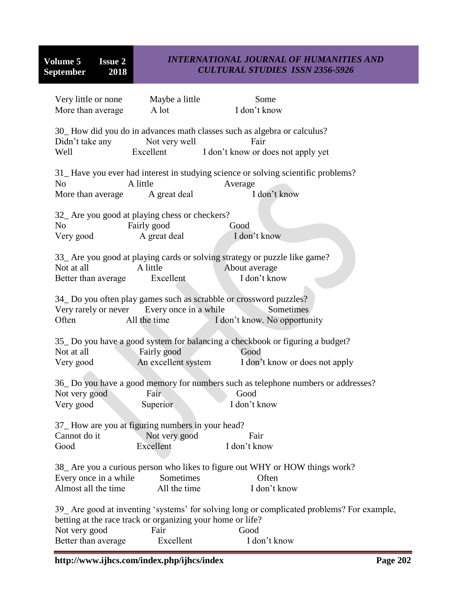| Very little or none                                                          | Maybe a little             | Some                                                                                                                  |  |
|------------------------------------------------------------------------------|----------------------------|-----------------------------------------------------------------------------------------------------------------------|--|
| More than average                                                            | A lot                      | I don't know                                                                                                          |  |
| Didn't take any<br>Well                                                      | Not very well<br>Excellent | 30_How did you do in advances math classes such as algebra or calculus?<br>Fair<br>I don't know or does not apply yet |  |
|                                                                              |                            | 31_Have you ever had interest in studying science or solving scientific problems?                                     |  |
| N <sub>o</sub>                                                               | A little                   | Average                                                                                                               |  |
| More than average A great deal                                               |                            | I don't know                                                                                                          |  |
| 32_ Are you good at playing chess or checkers?                               |                            |                                                                                                                       |  |
| N <sub>o</sub>                                                               | Fairly good                | Good                                                                                                                  |  |
| Very good                                                                    | A great deal               | I don't know                                                                                                          |  |
| Not at all<br>Better than average                                            | A little<br>Excellent      | 33_ Are you good at playing cards or solving strategy or puzzle like game?<br>About average<br>I don't know           |  |
|                                                                              |                            |                                                                                                                       |  |
|                                                                              |                            | 34_Do you often play games such as scrabble or crossword puzzles?                                                     |  |
| Very rarely or never Every once in a while                                   |                            | Sometimes                                                                                                             |  |
| Often                                                                        | All the time               | I don't know. No opportunity                                                                                          |  |
| Not at all                                                                   | Fairly good                | 35 Do you have a good system for balancing a checkbook or figuring a budget?<br>Good                                  |  |
| Very good                                                                    | An excellent system        | I don't know or does not apply                                                                                        |  |
|                                                                              |                            | 36_Do you have a good memory for numbers such as telephone numbers or addresses?                                      |  |
| Not very good                                                                | Fair                       | Good                                                                                                                  |  |
| Very good                                                                    | Superior                   | I don't know                                                                                                          |  |
|                                                                              |                            |                                                                                                                       |  |
| 37_How are you at figuring numbers in your head?                             |                            |                                                                                                                       |  |
| Cannot do it                                                                 | Not very good              | Fair                                                                                                                  |  |
| Good                                                                         | Excellent                  | I don't know                                                                                                          |  |
| 38_ Are you a curious person who likes to figure out WHY or HOW things work? |                            |                                                                                                                       |  |
| Every once in a while                                                        | Sometimes                  | Often                                                                                                                 |  |
| Almost all the time                                                          | All the time               | I don't know                                                                                                          |  |
| betting at the race track or organizing your home or life?                   |                            | 39 Are good at inventing 'systems' for solving long or complicated problems? For example,                             |  |
| Not very good                                                                | Fair                       | Good                                                                                                                  |  |
| Better than average                                                          | Excellent                  | I don't know                                                                                                          |  |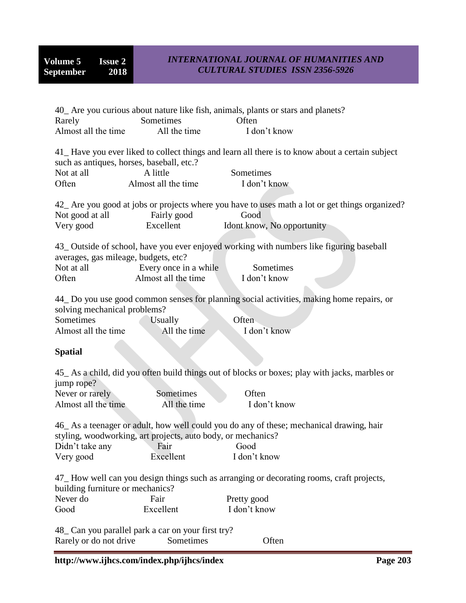| Rarely                                                                                                                                                                               | Sometimes                                         | 40_ Are you curious about nature like fish, animals, plants or stars and planets?<br>Often                         |  |
|--------------------------------------------------------------------------------------------------------------------------------------------------------------------------------------|---------------------------------------------------|--------------------------------------------------------------------------------------------------------------------|--|
| Almost all the time                                                                                                                                                                  | All the time                                      | I don't know                                                                                                       |  |
|                                                                                                                                                                                      | such as antiques, horses, baseball, etc.?         | 41_Have you ever liked to collect things and learn all there is to know about a certain subject                    |  |
| Not at all                                                                                                                                                                           | A little                                          | Sometimes                                                                                                          |  |
| Often                                                                                                                                                                                | Almost all the time                               | I don't know                                                                                                       |  |
| Not good at all                                                                                                                                                                      | Fairly good                                       | 42_ Are you good at jobs or projects where you have to uses math a lot or get things organized?<br>Good            |  |
| Very good                                                                                                                                                                            | Excellent                                         | Idont know, No opportunity                                                                                         |  |
| averages, gas mileage, budgets, etc?<br>Not at all                                                                                                                                   | Every once in a while                             | 43_ Outside of school, have you ever enjoyed working with numbers like figuring baseball<br>Sometimes              |  |
| Often                                                                                                                                                                                | Almost all the time                               | I don't know                                                                                                       |  |
| solving mechanical problems?<br>Sometimes<br>Almost all the time                                                                                                                     | <b>Usually</b><br>All the time                    | 44_ Do you use good common senses for planning social activities, making home repairs, or<br>Often<br>I don't know |  |
| <b>Spatial</b>                                                                                                                                                                       |                                                   |                                                                                                                    |  |
| jump rope?<br>Never or rarely                                                                                                                                                        | Sometimes                                         | 45_As a child, did you often build things out of blocks or boxes; play with jacks, marbles or<br>Often             |  |
| Almost all the time                                                                                                                                                                  | All the time                                      | I don't know                                                                                                       |  |
| 46_As a teenager or adult, how well could you do any of these; mechanical drawing, hair<br>styling, woodworking, art projects, auto body, or mechanics?<br>Didn't take any Fair Good |                                                   |                                                                                                                    |  |
| Very good                                                                                                                                                                            | Excellent                                         | I don't know                                                                                                       |  |
| 47_How well can you design things such as arranging or decorating rooms, craft projects,<br>building furniture or mechanics?                                                         |                                                   |                                                                                                                    |  |
| Never do                                                                                                                                                                             | Fair                                              | Pretty good                                                                                                        |  |
| Good                                                                                                                                                                                 | Excellent                                         | I don't know                                                                                                       |  |
|                                                                                                                                                                                      | 48 Can you parallel park a car on your first try? |                                                                                                                    |  |

Rarely or do not drive Sometimes Often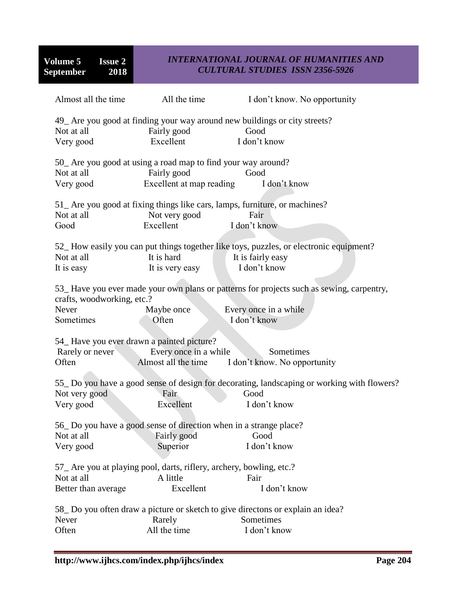|                                                                       | Almost all the time All the time                                                                         | I don't know. No opportunity                                                                                                      |
|-----------------------------------------------------------------------|----------------------------------------------------------------------------------------------------------|-----------------------------------------------------------------------------------------------------------------------------------|
| Not at all<br>Very good                                               | Fairly good<br>Excellent                                                                                 | 49_ Are you good at finding your way around new buildings or city streets?<br>Good<br>I don't know                                |
| Not at all<br>Very good                                               | 50_ Are you good at using a road map to find your way around?<br>Fairly good<br>Excellent at map reading | Good<br>I don't know                                                                                                              |
| Not at all<br>Good                                                    | Not very good<br>Excellent                                                                               | 51_ Are you good at fixing things like cars, lamps, furniture, or machines?<br>Fair<br>I don't know                               |
| Not at all<br>It is easy                                              | It is hard<br>It is very easy                                                                            | 52_How easily you can put things together like toys, puzzles, or electronic equipment?<br>It is fairly easy<br>I don't know       |
| crafts, woodworking, etc.?<br>Never<br>Sometimes                      | Maybe once<br>Often                                                                                      | 53_Have you ever made your own plans or patterns for projects such as sewing, carpentry,<br>Every once in a while<br>I don't know |
| 54_Have you ever drawn a painted picture?<br>Rarely or never<br>Often | Every once in a while<br>Almost all the time                                                             | Sometimes<br>I don't know. No opportunity                                                                                         |
| Not very good<br>Very good                                            | Fair<br>Excellent                                                                                        | 55 Do you have a good sense of design for decorating, landscaping or working with flowers?<br>Good<br>I don't know                |
| Not at all<br>Very good                                               | 56 Do you have a good sense of direction when in a strange place?<br>Fairly good<br>Superior             | Good<br>I don't know                                                                                                              |
| Not at all<br>Better than average                                     | 57 Are you at playing pool, darts, riflery, archery, bowling, etc.?<br>A little<br>Excellent             | Fair<br>I don't know                                                                                                              |
| Never<br>Often                                                        | Rarely<br>All the time                                                                                   | 58 Do you often draw a picture or sketch to give directons or explain an idea?<br>Sometimes<br>I don't know                       |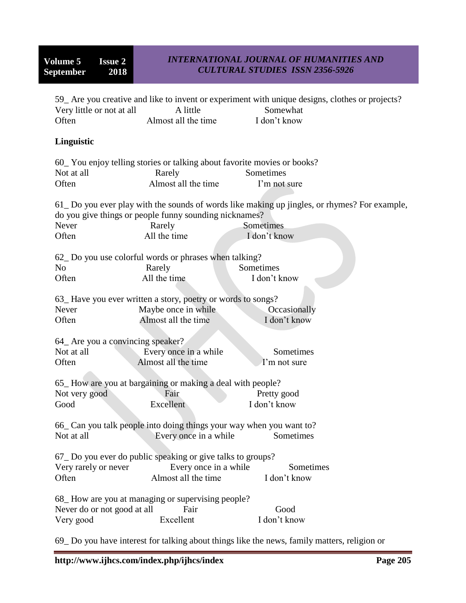| Very little or not at all                                                                                                                                                | A little                                                                                                                         | 59 Are you creative and like to invent or experiment with unique designs, clothes or projects?<br>Somewhat                |  |
|--------------------------------------------------------------------------------------------------------------------------------------------------------------------------|----------------------------------------------------------------------------------------------------------------------------------|---------------------------------------------------------------------------------------------------------------------------|--|
| Often                                                                                                                                                                    | Almost all the time                                                                                                              | I don't know                                                                                                              |  |
| Linguistic                                                                                                                                                               |                                                                                                                                  |                                                                                                                           |  |
|                                                                                                                                                                          | 60_You enjoy telling stories or talking about favorite movies or books?                                                          |                                                                                                                           |  |
| Not at all                                                                                                                                                               | Rarely                                                                                                                           | Sometimes                                                                                                                 |  |
| Often                                                                                                                                                                    | Almost all the time                                                                                                              | I'm not sure                                                                                                              |  |
| Never<br>Often                                                                                                                                                           | do you give things or people funny sounding nicknames?<br>Rarely<br>All the time                                                 | 61 Do you ever play with the sounds of words like making up jingles, or rhymes? For example,<br>Sometimes<br>I don't know |  |
|                                                                                                                                                                          |                                                                                                                                  |                                                                                                                           |  |
| N <sub>o</sub>                                                                                                                                                           | 62 Do you use colorful words or phrases when talking?<br>Rarely                                                                  | Sometimes                                                                                                                 |  |
| Often                                                                                                                                                                    | All the time                                                                                                                     | I don't know                                                                                                              |  |
|                                                                                                                                                                          |                                                                                                                                  |                                                                                                                           |  |
|                                                                                                                                                                          | 63_Have you ever written a story, poetry or words to songs?                                                                      |                                                                                                                           |  |
| Never                                                                                                                                                                    | Maybe once in while                                                                                                              | Occasionally                                                                                                              |  |
| Often                                                                                                                                                                    | Almost all the time                                                                                                              | I don't know                                                                                                              |  |
| 64_ Are you a convincing speaker?<br>Not at all<br>Often                                                                                                                 | Every once in a while<br>Almost all the time                                                                                     | Sometimes<br>I'm not sure                                                                                                 |  |
|                                                                                                                                                                          | 65_How are you at bargaining or making a deal with people?                                                                       |                                                                                                                           |  |
| Not very good                                                                                                                                                            | Fair                                                                                                                             | Pretty good                                                                                                               |  |
| Good                                                                                                                                                                     | Excellent                                                                                                                        | I don't know                                                                                                              |  |
|                                                                                                                                                                          |                                                                                                                                  |                                                                                                                           |  |
|                                                                                                                                                                          | 66_ Can you talk people into doing things your way when you want to?<br>Not at all <b>Every</b> once in a while <b>Sometimes</b> |                                                                                                                           |  |
| 67 Do you ever do public speaking or give talks to groups?<br>Every once in a while<br>Sometimes<br>Very rarely or never<br>Almost all the time<br>I don't know<br>Often |                                                                                                                                  |                                                                                                                           |  |
| Never do or not good at all<br>Very good                                                                                                                                 | 68 How are you at managing or supervising people?<br>Fair<br>Excellent                                                           | Good<br>I don't know                                                                                                      |  |

69\_ Do you have interest for talking about things like the news, family matters, religion or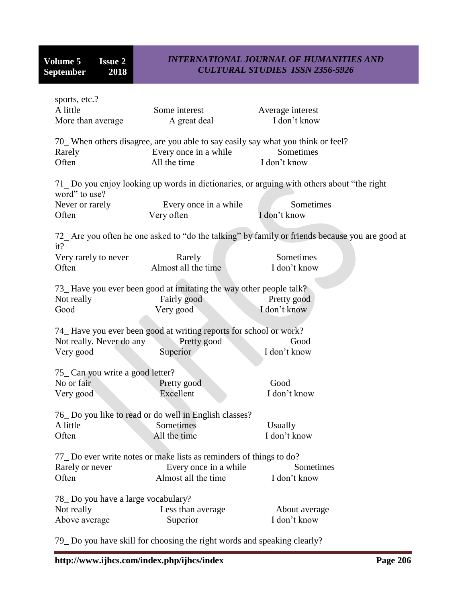| Some interest<br>A great deal                                                                                             | Average interest<br>I don't know                                                                |
|---------------------------------------------------------------------------------------------------------------------------|-------------------------------------------------------------------------------------------------|
| 70_ When others disagree, are you able to say easily say what you think or feel?<br>Every once in a while<br>All the time | Sometimes<br>I don't know                                                                       |
|                                                                                                                           | 71 Do you enjoy looking up words in dictionaries, or arguing with others about "the right"      |
| Every once in a while<br>Very often                                                                                       | Sometimes<br>I don't know                                                                       |
|                                                                                                                           | 72_ Are you often he one asked to "do the talking" by family or friends because you are good at |
| Rarely<br>Almost all the time                                                                                             | Sometimes<br>I don't know                                                                       |
| 73_Have you ever been good at imitating the way other people talk?<br>Fairly good<br>Very good                            | Pretty good<br>I don't know                                                                     |
| 74_Have you ever been good at writing reports for school or work?<br>Pretty good<br>Not really. Never do any<br>Superior  | Good<br>I don't know                                                                            |
| 75 Can you write a good letter?                                                                                           | Good                                                                                            |
| Excellent                                                                                                                 | I don't know                                                                                    |
| 76_Do you like to read or do well in English classes?<br>Sometimes<br>All the time                                        | Usually<br>I don't know                                                                         |
| 77 Do ever write notes or make lists as reminders of things to do?<br>Every once in a while<br>Almost all the time        | Sometimes<br>I don't know                                                                       |
| 78 Do you have a large vocabulary?<br>Less than average<br>Superior                                                       | About average<br>I don't know                                                                   |
|                                                                                                                           | Pretty good                                                                                     |

79\_ Do you have skill for choosing the right words and speaking clearly?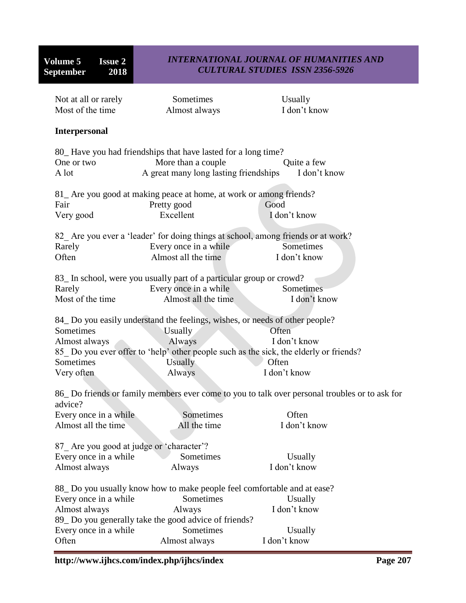| Most of the time                         | Almost always                                                               | I don't know                                                                                   |
|------------------------------------------|-----------------------------------------------------------------------------|------------------------------------------------------------------------------------------------|
| <b>Interpersonal</b>                     |                                                                             |                                                                                                |
|                                          | 80_Have you had friendships that have lasted for a long time?               |                                                                                                |
| One or two                               | More than a couple                                                          | Quite a few                                                                                    |
| A lot                                    | A great many long lasting friendships                                       | I don't know                                                                                   |
|                                          | 81_ Are you good at making peace at home, at work or among friends?         |                                                                                                |
| Fair                                     | Pretty good                                                                 | Good                                                                                           |
| Very good                                | Excellent                                                                   | I don't know                                                                                   |
|                                          |                                                                             | 82_ Are you ever a 'leader' for doing things at school, among friends or at work?              |
| Rarely                                   | Every once in a while                                                       | Sometimes                                                                                      |
| Often                                    | Almost all the time                                                         | I don't know                                                                                   |
|                                          | 83_In school, were you usually part of a particular group or crowd?         |                                                                                                |
| Rarely                                   | Every once in a while                                                       | Sometimes                                                                                      |
| Most of the time                         | Almost all the time                                                         | I don't know                                                                                   |
|                                          | 84 Do you easily understand the feelings, wishes, or needs of other people? |                                                                                                |
| Sometimes                                | <b>Usually</b>                                                              | Often                                                                                          |
| Almost always                            | Always                                                                      | I don't know                                                                                   |
|                                          |                                                                             | 85 Do you ever offer to 'help' other people such as the sick, the elderly or friends?          |
| Sometimes                                | Usually                                                                     | Often                                                                                          |
| Very often                               | Always                                                                      | I don't know                                                                                   |
| advice?                                  |                                                                             | 86_ Do friends or family members ever come to you to talk over personal troubles or to ask for |
| Every once in a while                    | Sometimes                                                                   | Often                                                                                          |
| Almost all the time                      | All the time                                                                | I don't know                                                                                   |
| 87_Are you good at judge or 'character'? |                                                                             |                                                                                                |
| Every once in a while                    | Sometimes                                                                   | Usually                                                                                        |
| Almost always                            | Always                                                                      | I don't know                                                                                   |
|                                          | 88 Do you usually know how to make people feel comfortable and at ease?     |                                                                                                |
| Every once in a while                    | Sometimes                                                                   | Usually                                                                                        |
| Almost always                            | Always                                                                      | I don't know                                                                                   |
|                                          | 89_Do you generally take the good advice of friends?                        |                                                                                                |
| Every once in a while                    | Sometimes                                                                   | Usually                                                                                        |
| Often                                    | Almost always                                                               | I don't know                                                                                   |
|                                          |                                                                             |                                                                                                |

Not at all or rarely Sometimes Usually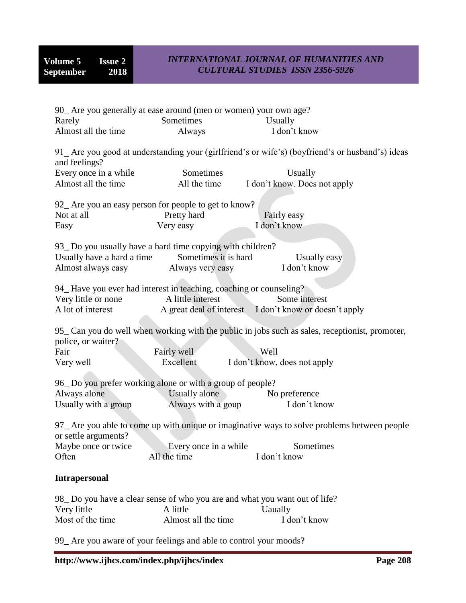| 90_ Are you generally at ease around (men or women) your own age?          |                       |                                                                                                  |
|----------------------------------------------------------------------------|-----------------------|--------------------------------------------------------------------------------------------------|
| Rarely                                                                     | Sometimes             | Usually                                                                                          |
| Almost all the time                                                        | Always                | I don't know                                                                                     |
| and feelings?                                                              |                       | 91_ Are you good at understanding your (girlfriend's or wife's) (boyfriend's or husband's) ideas |
| Every once in a while                                                      | Sometimes             | Usually                                                                                          |
| Almost all the time                                                        | All the time          | I don't know. Does not apply                                                                     |
|                                                                            |                       |                                                                                                  |
| 92_ Are you an easy person for people to get to know?                      |                       |                                                                                                  |
| Not at all                                                                 | Pretty hard           | Fairly easy                                                                                      |
| Easy                                                                       | Very easy             | I don't know                                                                                     |
|                                                                            |                       |                                                                                                  |
| 93 Do you usually have a hard time copying with children?                  |                       |                                                                                                  |
| Usually have a hard a time                                                 | Sometimes it is hard  | Usually easy                                                                                     |
| Almost always easy Always very easy                                        |                       | I don't know                                                                                     |
|                                                                            |                       |                                                                                                  |
| 94_Have you ever had interest in teaching, coaching or counseling?         |                       |                                                                                                  |
| Very little or none                                                        | A little interest     | Some interest                                                                                    |
| A lot of interest                                                          |                       | A great deal of interest I don't know or doesn't apply                                           |
|                                                                            |                       |                                                                                                  |
|                                                                            |                       | 95_Can you do well when working with the public in jobs such as sales, receptionist, promoter,   |
| police, or waiter?                                                         |                       |                                                                                                  |
| Fair                                                                       | Fairly well           | Well                                                                                             |
| Very well                                                                  | Excellent             | I don't know, does not apply                                                                     |
|                                                                            |                       |                                                                                                  |
| 96_Do you prefer working alone or with a group of people?                  |                       |                                                                                                  |
| Always alone                                                               | Usually alone         | No preference                                                                                    |
| Usually with a group                                                       | Always with a goup    | I don't know                                                                                     |
|                                                                            |                       |                                                                                                  |
| or settle arguments?                                                       |                       | 97_ Are you able to come up with unique or imaginative ways to solve problems between people     |
| Maybe once or twice                                                        | Every once in a while | Sometimes                                                                                        |
| Often                                                                      | All the time          | I don't know                                                                                     |
|                                                                            |                       |                                                                                                  |
| <b>Intrapersonal</b>                                                       |                       |                                                                                                  |
| 98_Do you have a clear sense of who you are and what you want out of life? |                       |                                                                                                  |
| Very little                                                                | A little              | <b>Uaually</b>                                                                                   |
| Most of the time                                                           | Almost all the time   | I don't know                                                                                     |
|                                                                            |                       |                                                                                                  |

99\_ Are you aware of your feelings and able to control your moods?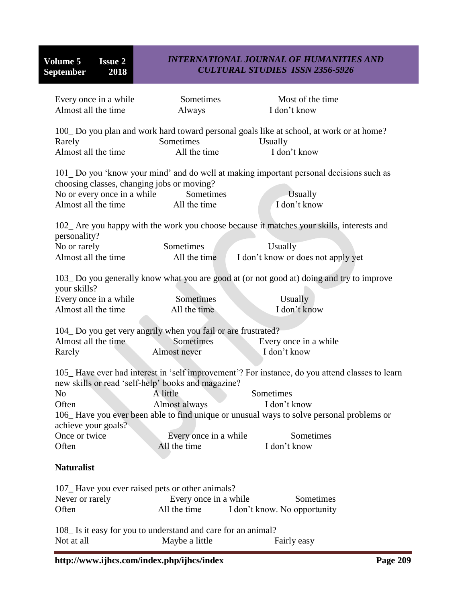| Every once in a while<br>Almost all the time                                                                                                                                                                                                                                                                                                                                                                                                                 | Sometimes<br>Always                   | Most of the time<br>I don't know                                                                                                           |  |
|--------------------------------------------------------------------------------------------------------------------------------------------------------------------------------------------------------------------------------------------------------------------------------------------------------------------------------------------------------------------------------------------------------------------------------------------------------------|---------------------------------------|--------------------------------------------------------------------------------------------------------------------------------------------|--|
| Rarely<br>Almost all the time                                                                                                                                                                                                                                                                                                                                                                                                                                | Sometimes<br>All the time             | 100_Do you plan and work hard toward personal goals like at school, at work or at home?<br>Usually<br>I don't know                         |  |
| choosing classes, changing jobs or moving?<br>No or every once in a while<br>Almost all the time                                                                                                                                                                                                                                                                                                                                                             | Sometimes<br>All the time             | 101 Do you 'know your mind' and do well at making important personal decisions such as<br>Usually<br>I don't know                          |  |
| personality?<br>No or rarely<br>Almost all the time                                                                                                                                                                                                                                                                                                                                                                                                          | Sometimes<br>All the time             | 102_ Are you happy with the work you choose because it matches your skills, interests and<br>Usually<br>I don't know or does not apply yet |  |
| your skills?<br>Every once in a while<br>Almost all the time                                                                                                                                                                                                                                                                                                                                                                                                 | Sometimes<br>All the time             | 103_Do you generally know what you are good at (or not good at) doing and try to improve<br>Usually<br>I don't know                        |  |
| 104_Do you get very angrily when you fail or are frustrated?<br>Almost all the time<br>Rarely                                                                                                                                                                                                                                                                                                                                                                | Sometimes<br>Almost never             | Every once in a while<br>I don't know                                                                                                      |  |
| 105_Have ever had interest in 'self improvement'? For instance, do you attend classes to learn<br>new skills or read 'self-help' books and magazine?<br>A little<br>Sometimes<br>N <sub>o</sub><br>Almost always<br>Often<br>I don't know<br>106_Have you ever been able to find unique or unusual ways to solve personal problems or<br>achieve your goals?<br>Once or twice<br>Every once in a while<br>Sometimes<br>Often<br>All the time<br>I don't know |                                       |                                                                                                                                            |  |
| <b>Naturalist</b>                                                                                                                                                                                                                                                                                                                                                                                                                                            |                                       |                                                                                                                                            |  |
| 107 Have you ever raised pets or other animals?<br>Never or rarely<br>Often                                                                                                                                                                                                                                                                                                                                                                                  | Every once in a while<br>All the time | Sometimes<br>I don't know. No opportunity                                                                                                  |  |
| 108 Is it easy for you to understand and care for an animal?<br>Not at all                                                                                                                                                                                                                                                                                                                                                                                   | Maybe a little                        | Fairly easy                                                                                                                                |  |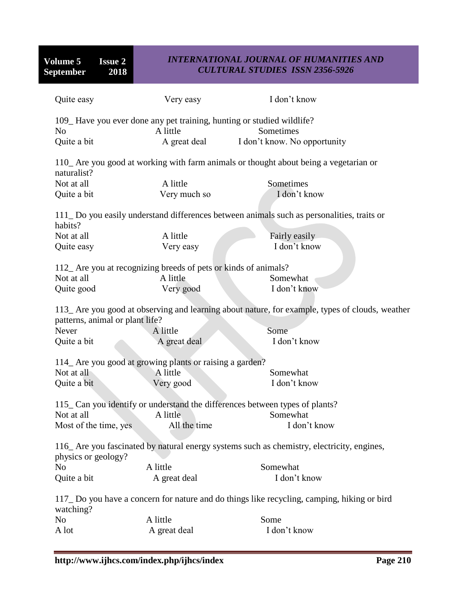**Volume 5 Issue 2**<br>**September 2018 September** 

## *INTERNATIONAL JOURNAL OF HUMANITIES AND CULTURAL STUDIES ISSN 2356-5926*

| Quite easy                                                                                              | Very easy                                                       | I don't know                                                                                    |  |  |
|---------------------------------------------------------------------------------------------------------|-----------------------------------------------------------------|-------------------------------------------------------------------------------------------------|--|--|
| 109_Have you ever done any pet training, hunting or studied wildlife?                                   |                                                                 |                                                                                                 |  |  |
| N <sub>0</sub>                                                                                          | A little                                                        | Sometimes                                                                                       |  |  |
| Quite a bit                                                                                             | A great deal                                                    | I don't know. No opportunity                                                                    |  |  |
| naturalist?                                                                                             |                                                                 | 110_ Are you good at working with farm animals or thought about being a vegetarian or           |  |  |
| Not at all                                                                                              | A little                                                        | Sometimes                                                                                       |  |  |
| Quite a bit                                                                                             | Very much so                                                    | I don't know                                                                                    |  |  |
| habits?                                                                                                 |                                                                 | 111_Do you easily understand differences between animals such as personalities, traits or       |  |  |
| Not at all                                                                                              | A little                                                        | Fairly easily                                                                                   |  |  |
| Quite easy                                                                                              | Very easy                                                       | I don't know                                                                                    |  |  |
|                                                                                                         | 112_ Are you at recognizing breeds of pets or kinds of animals? |                                                                                                 |  |  |
| Not at all                                                                                              | A little                                                        | Somewhat                                                                                        |  |  |
| Quite good                                                                                              | Very good                                                       | I don't know                                                                                    |  |  |
|                                                                                                         |                                                                 |                                                                                                 |  |  |
| patterns, animal or plant life?                                                                         |                                                                 | 113_ Are you good at observing and learning about nature, for example, types of clouds, weather |  |  |
| Never                                                                                                   | A little                                                        | Some                                                                                            |  |  |
| Quite a bit                                                                                             | A great deal                                                    | I don't know                                                                                    |  |  |
|                                                                                                         | 114_ Are you good at growing plants or raising a garden?        |                                                                                                 |  |  |
| Not at all                                                                                              | A little                                                        | Somewhat                                                                                        |  |  |
| Quite a bit                                                                                             | Very good                                                       | I don't know                                                                                    |  |  |
| 115_Can you identify or understand the differences between types of plants?                             |                                                                 |                                                                                                 |  |  |
| Not at all                                                                                              | A little                                                        | Somewhat                                                                                        |  |  |
| Most of the time, yes                                                                                   | All the time                                                    | I don't know                                                                                    |  |  |
|                                                                                                         |                                                                 |                                                                                                 |  |  |
| physics or geology?                                                                                     |                                                                 | 116_Are you fascinated by natural energy systems such as chemistry, electricity, engines,       |  |  |
| N <sub>o</sub>                                                                                          | A little                                                        | Somewhat                                                                                        |  |  |
| Quite a bit                                                                                             | A great deal                                                    | I don't know                                                                                    |  |  |
| 117_Do you have a concern for nature and do things like recycling, camping, hiking or bird<br>watching? |                                                                 |                                                                                                 |  |  |
| N <sub>o</sub>                                                                                          | A little                                                        | Some                                                                                            |  |  |
| A lot                                                                                                   | A great deal                                                    | I don't know                                                                                    |  |  |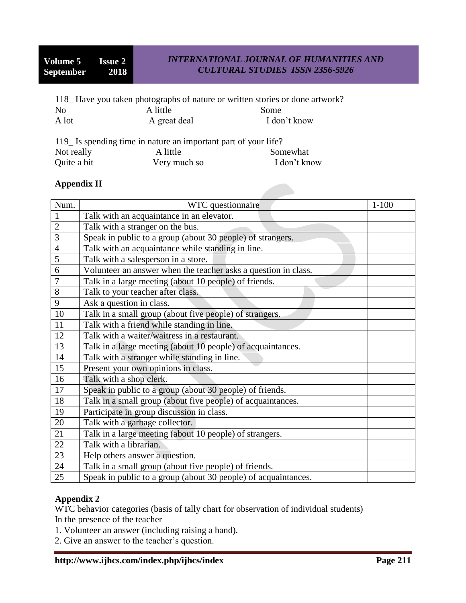|                |              | 118 Have you taken photographs of nature or written stories or done artwork? |
|----------------|--------------|------------------------------------------------------------------------------|
| N <sub>0</sub> | A little     | Some                                                                         |
| A lot          | A great deal | I don't know                                                                 |

| 119 Is spending time in nature an important part of your life? |              |              |  |
|----------------------------------------------------------------|--------------|--------------|--|
| Not really                                                     | A little     | Somewhat     |  |
| Quite a bit                                                    | Very much so | I don't know |  |

## **Appendix II**

| Num.           | WTC questionnaire                                              | $1 - 100$ |
|----------------|----------------------------------------------------------------|-----------|
| $\mathbf{1}$   | Talk with an acquaintance in an elevator.                      |           |
| $\overline{2}$ | Talk with a stranger on the bus.                               |           |
| 3              | Speak in public to a group (about 30 people) of strangers.     |           |
| $\overline{4}$ | Talk with an acquaintance while standing in line.              |           |
| 5              | Talk with a salesperson in a store.                            |           |
| 6              | Volunteer an answer when the teacher asks a question in class. |           |
| $\overline{7}$ | Talk in a large meeting (about 10 people) of friends.          |           |
| 8              | Talk to your teacher after class.                              |           |
| 9              | Ask a question in class.                                       |           |
| 10             | Talk in a small group (about five people) of strangers.        |           |
| 11             | Talk with a friend while standing in line.                     |           |
| 12             | Talk with a waiter/waitress in a restaurant.                   |           |
| 13             | Talk in a large meeting (about 10 people) of acquaintances.    |           |
| 14             | Talk with a stranger while standing in line.                   |           |
| 15             | Present your own opinions in class.                            |           |
| 16             | Talk with a shop clerk.                                        |           |
| 17             | Speak in public to a group (about 30 people) of friends.       |           |
| 18             | Talk in a small group (about five people) of acquaintances.    |           |
| 19             | Participate in group discussion in class.                      |           |
| 20             | Talk with a garbage collector.                                 |           |
| 21             | Talk in a large meeting (about 10 people) of strangers.        |           |
| 22             | Talk with a librarian.                                         |           |
| 23             | Help others answer a question.                                 |           |
| 24             | Talk in a small group (about five people) of friends.          |           |
| 25             | Speak in public to a group (about 30 people) of acquaintances. |           |

## **Appendix 2**

WTC behavior categories (basis of tally chart for observation of individual students) In the presence of the teacher

- 1. Volunteer an answer (including raising a hand).
- 2. Give an answer to the teacher"s question.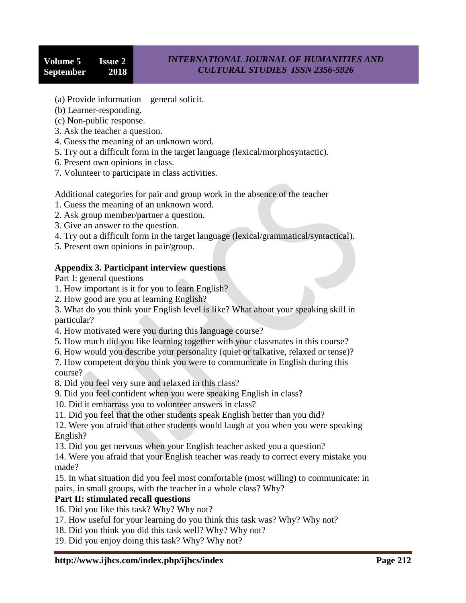- (a) Provide information general solicit.
- (b) Learner-responding.
- (c) Non-public response.
- 3. Ask the teacher a question.
- 4. Guess the meaning of an unknown word.
- 5. Try out a difficult form in the target language (lexical/morphosyntactic).
- 6. Present own opinions in class.
- 7. Volunteer to participate in class activities.

Additional categories for pair and group work in the absence of the teacher

- 1. Guess the meaning of an unknown word.
- 2. Ask group member/partner a question.
- 3. Give an answer to the question.
- 4. Try out a difficult form in the target language (lexical/grammatical/syntactical).
- 5. Present own opinions in pair/group.

## **Appendix 3. Participant interview questions**

Part I: general questions

- 1. How important is it for you to learn English?
- 2. How good are you at learning English?

3. What do you think your English level is like? What about your speaking skill in particular?

- 4. How motivated were you during this language course?
- 5. How much did you like learning together with your classmates in this course?
- 6. How would you describe your personality (quiet or talkative, relaxed or tense)?

7. How competent do you think you were to communicate in English during this course?

- 8. Did you feel very sure and relaxed in this class?
- 9. Did you feel confident when you were speaking English in class?
- 10. Did it embarrass you to volunteer answers in class?
- 11. Did you feel that the other students speak English better than you did?

12. Were you afraid that other students would laugh at you when you were speaking English?

13. Did you get nervous when your English teacher asked you a question?

14. Were you afraid that your English teacher was ready to correct every mistake you made?

15. In what situation did you feel most comfortable (most willing) to communicate: in pairs, in small groups, with the teacher in a whole class? Why?

## **Part II: stimulated recall questions**

16. Did you like this task? Why? Why not?

- 17. How useful for your learning do you think this task was? Why? Why not?
- 18. Did you think you did this task well? Why? Why not?
- 19. Did you enjoy doing this task? Why? Why not?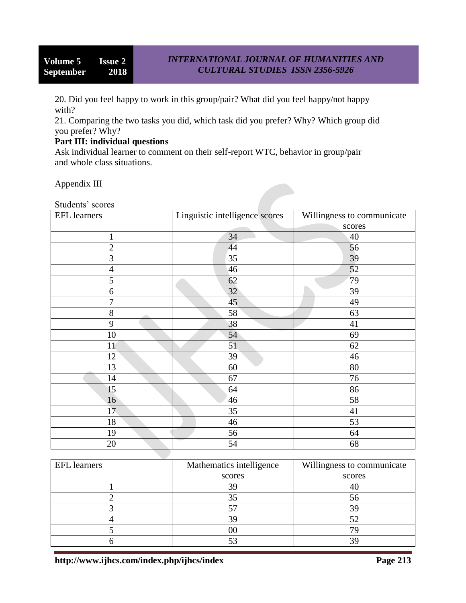20. Did you feel happy to work in this group/pair? What did you feel happy/not happy with?

21. Comparing the two tasks you did, which task did you prefer? Why? Which group did you prefer? Why?

### **Part III: individual questions**

Ask individual learner to comment on their self-report WTC, behavior in group/pair and whole class situations.

Appendix III

| Students' scores    |                                |                            |
|---------------------|--------------------------------|----------------------------|
| <b>EFL</b> learners | Linguistic intelligence scores | Willingness to communicate |
|                     |                                | scores                     |
| $\mathbf{1}$        | 34                             | 40                         |
| $\overline{c}$      | 44                             | 56                         |
| 3                   | 35                             | 39                         |
| $\overline{4}$      | 46                             | 52                         |
| 5                   | 62                             | 79                         |
| 6                   | 32                             | 39                         |
| 7                   | 45                             | 49                         |
| $8\,$               | 58                             | 63                         |
| 9                   | 38                             | 41                         |
| 10                  | 54                             | 69                         |
| 11                  | 51                             | 62                         |
| 12                  | 39                             | 46                         |
| 13                  | 60                             | 80                         |
| 14                  | 67                             | 76                         |
| 15                  | 64                             | 86                         |
| 16                  | 46                             | 58                         |
| 17                  | 35                             | 41                         |
| 18                  | 46                             | 53                         |
| 19                  | 56                             | 64                         |
| 20                  | 54                             | 68                         |

| <b>EFL</b> learners | Mathematics intelligence | Willingness to communicate |
|---------------------|--------------------------|----------------------------|
|                     | scores                   | scores                     |
|                     |                          | 41                         |
|                     |                          | 56                         |
|                     |                          | 30                         |
|                     |                          |                            |
|                     |                          |                            |
|                     |                          |                            |